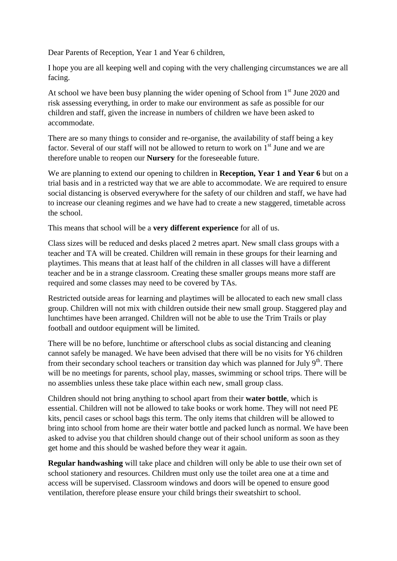Dear Parents of Reception, Year 1 and Year 6 children,

I hope you are all keeping well and coping with the very challenging circumstances we are all facing.

At school we have been busy planning the wider opening of School from  $1<sup>st</sup>$  June 2020 and risk assessing everything, in order to make our environment as safe as possible for our children and staff, given the increase in numbers of children we have been asked to accommodate.

There are so many things to consider and re-organise, the availability of staff being a key factor. Several of our staff will not be allowed to return to work on  $1<sup>st</sup>$  June and we are therefore unable to reopen our **Nursery** for the foreseeable future.

We are planning to extend our opening to children in **Reception, Year 1 and Year 6** but on a trial basis and in a restricted way that we are able to accommodate. We are required to ensure social distancing is observed everywhere for the safety of our children and staff, we have had to increase our cleaning regimes and we have had to create a new staggered, timetable across the school.

This means that school will be a **very different experience** for all of us.

Class sizes will be reduced and desks placed 2 metres apart. New small class groups with a teacher and TA will be created. Children will remain in these groups for their learning and playtimes. This means that at least half of the children in all classes will have a different teacher and be in a strange classroom. Creating these smaller groups means more staff are required and some classes may need to be covered by TAs.

Restricted outside areas for learning and playtimes will be allocated to each new small class group. Children will not mix with children outside their new small group. Staggered play and lunchtimes have been arranged. Children will not be able to use the Trim Trails or play football and outdoor equipment will be limited.

There will be no before, lunchtime or afterschool clubs as social distancing and cleaning cannot safely be managed. We have been advised that there will be no visits for Y6 children from their secondary school teachers or transition day which was planned for July  $9<sup>th</sup>$ . There will be no meetings for parents, school play, masses, swimming or school trips. There will be no assemblies unless these take place within each new, small group class.

Children should not bring anything to school apart from their **water bottle**, which is essential. Children will not be allowed to take books or work home. They will not need PE kits, pencil cases or school bags this term. The only items that children will be allowed to bring into school from home are their water bottle and packed lunch as normal. We have been asked to advise you that children should change out of their school uniform as soon as they get home and this should be washed before they wear it again.

**Regular handwashing** will take place and children will only be able to use their own set of school stationery and resources. Children must only use the toilet area one at a time and access will be supervised. Classroom windows and doors will be opened to ensure good ventilation, therefore please ensure your child brings their sweatshirt to school.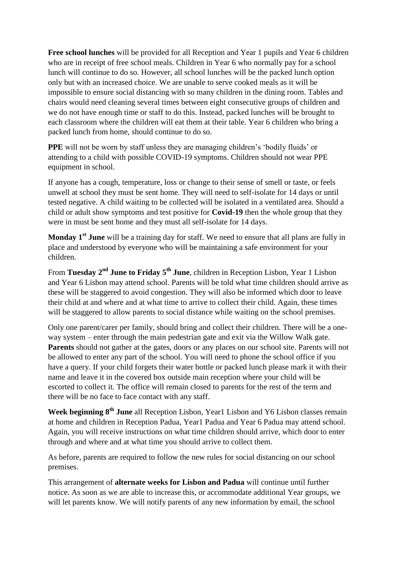**Free school lunches** will be provided for all Reception and Year 1 pupils and Year 6 children who are in receipt of free school meals. Children in Year 6 who normally pay for a school lunch will continue to do so. However, all school lunches will be the packed lunch option only but with an increased choice. We are unable to serve cooked meals as it will be impossible to ensure social distancing with so many children in the dining room. Tables and chairs would need cleaning several times between eight consecutive groups of children and we do not have enough time or staff to do this. Instead, packed lunches will be brought to each classroom where the children will eat them at their table. Year 6 children who bring a packed lunch from home, should continue to do so.

**PPE** will not be worn by staff unless they are managing children's 'bodily fluids' or attending to a child with possible COVID-19 symptoms. Children should not wear PPE equipment in school.

If anyone has a cough, temperature, loss or change to their sense of smell or taste, or feels unwell at school they must be sent home. They will need to self-isolate for 14 days or until tested negative. A child waiting to be collected will be isolated in a ventilated area. Should a child or adult show symptoms and test positive for **Covid-19** then the whole group that they were in must be sent home and they must all self-isolate for 14 days.

**Monday 1st June** will be a training day for staff. We need to ensure that all plans are fully in place and understood by everyone who will be maintaining a safe environment for your children.

From **Tuesday 2nd June to Friday 5th June**, children in Reception Lisbon, Year 1 Lisbon and Year 6 Lisbon may attend school. Parents will be told what time children should arrive as these will be staggered to avoid congestion. They will also be informed which door to leave their child at and where and at what time to arrive to collect their child. Again, these times will be staggered to allow parents to social distance while waiting on the school premises.

Only one parent/carer per family, should bring and collect their children. There will be a oneway system – enter through the main pedestrian gate and exit via the Willow Walk gate. **Parents** should not gather at the gates, doors or any places on our school site. Parents will not be allowed to enter any part of the school. You will need to phone the school office if you have a query. If your child forgets their water bottle or packed lunch please mark it with their name and leave it in the covered box outside main reception where your child will be escorted to collect it. The office will remain closed to parents for the rest of the term and there will be no face to face contact with any staff.

**Week beginning 8th June** all Reception Lisbon, Year1 Lisbon and Y6 Lisbon classes remain at home and children in Reception Padua, Year1 Padua and Year 6 Padua may attend school. Again, you will receive instructions on what time children should arrive, which door to enter through and where and at what time you should arrive to collect them.

As before, parents are required to follow the new rules for social distancing on our school premises.

This arrangement of **alternate weeks for Lisbon and Padua** will continue until further notice. As soon as we are able to increase this, or accommodate additional Year groups, we will let parents know. We will notify parents of any new information by email, the school